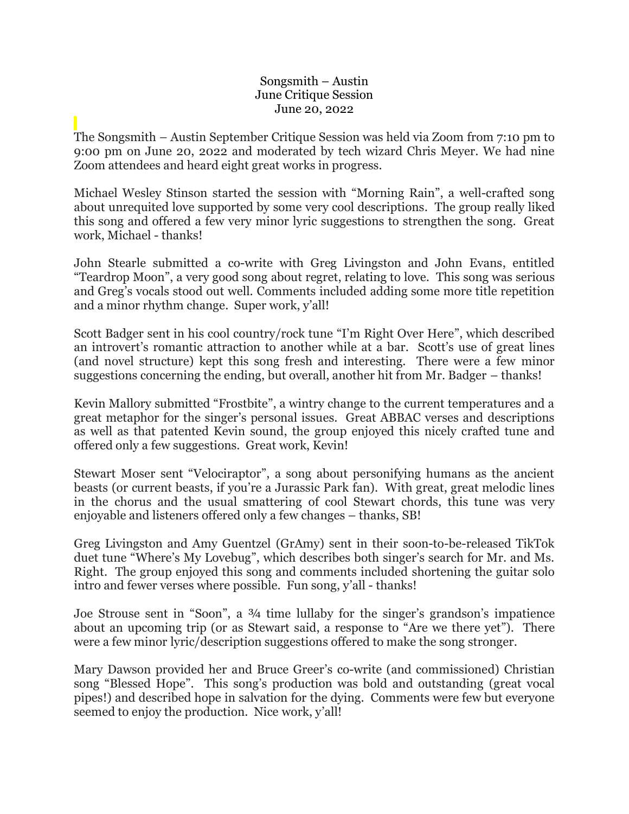## Songsmith – Austin June Critique Session June 20, 2022

The Songsmith – Austin September Critique Session was held via Zoom from 7:10 pm to 9:00 pm on June 20, 2022 and moderated by tech wizard Chris Meyer. We had nine Zoom attendees and heard eight great works in progress.

Michael Wesley Stinson started the session with "Morning Rain", a well-crafted song about unrequited love supported by some very cool descriptions. The group really liked this song and offered a few very minor lyric suggestions to strengthen the song. Great work, Michael - thanks!

John Stearle submitted a co-write with Greg Livingston and John Evans, entitled "Teardrop Moon", a very good song about regret, relating to love. This song was serious and Greg's vocals stood out well. Comments included adding some more title repetition and a minor rhythm change. Super work, y'all!

Scott Badger sent in his cool country/rock tune "I'm Right Over Here", which described an introvert's romantic attraction to another while at a bar. Scott's use of great lines (and novel structure) kept this song fresh and interesting. There were a few minor suggestions concerning the ending, but overall, another hit from Mr. Badger – thanks!

Kevin Mallory submitted "Frostbite", a wintry change to the current temperatures and a great metaphor for the singer's personal issues. Great ABBAC verses and descriptions as well as that patented Kevin sound, the group enjoyed this nicely crafted tune and offered only a few suggestions. Great work, Kevin!

Stewart Moser sent "Velociraptor", a song about personifying humans as the ancient beasts (or current beasts, if you're a Jurassic Park fan). With great, great melodic lines in the chorus and the usual smattering of cool Stewart chords, this tune was very enjoyable and listeners offered only a few changes – thanks, SB!

Greg Livingston and Amy Guentzel (GrAmy) sent in their soon-to-be-released TikTok duet tune "Where's My Lovebug", which describes both singer's search for Mr. and Ms. Right. The group enjoyed this song and comments included shortening the guitar solo intro and fewer verses where possible. Fun song, y'all - thanks!

Joe Strouse sent in "Soon", a ¾ time lullaby for the singer's grandson's impatience about an upcoming trip (or as Stewart said, a response to "Are we there yet"). There were a few minor lyric/description suggestions offered to make the song stronger.

Mary Dawson provided her and Bruce Greer's co-write (and commissioned) Christian song "Blessed Hope". This song's production was bold and outstanding (great vocal pipes!) and described hope in salvation for the dying. Comments were few but everyone seemed to enjoy the production. Nice work, y'all!